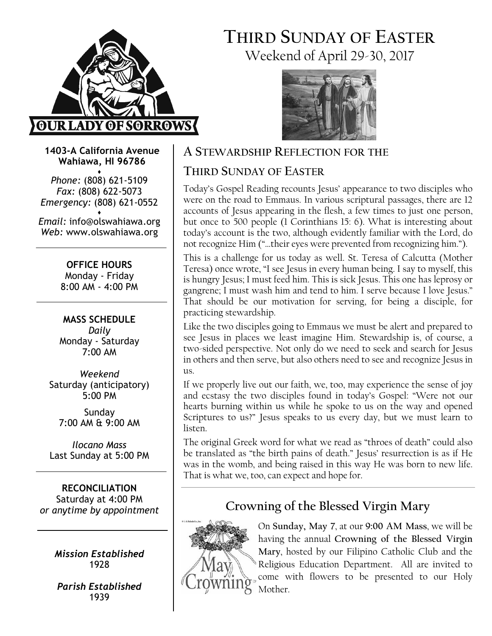

# THIRD SUNDAY OF EASTER Weekend of April 29-30, 2017



1403-A California Avenue Wahiawa, HI 96786

♦ Phone: (808) 621-5109 Fax: (808) 622-5073 Emergency: (808) 621-0552 ♦

Email: info@olswahiawa.org Web: www.olswahiawa.org

> OFFICE HOURS Monday - Friday 8:00 AM - 4:00 PM

MASS SCHEDULE Daily Monday - Saturday 7:00 AM

Weekend Saturday (anticipatory) 5:00 PM

Sunday 7:00 AM & 9:00 AM

Ilocano Mass Last Sunday at 5:00 PM

RECONCILIATION Saturday at 4:00 PM or anytime by appointment

> Mission Established 1928

Parish Established 1939

# A STEWARDSHIP REFLECTION FOR THE

# THIRD SUNDAY OF EASTER

Today's Gospel Reading recounts Jesus' appearance to two disciples who were on the road to Emmaus. In various scriptural passages, there are 12 accounts of Jesus appearing in the flesh, a few times to just one person, but once to 500 people (1 Corinthians 15: 6). What is interesting about today's account is the two, although evidently familiar with the Lord, do not recognize Him ("…their eyes were prevented from recognizing him.").

This is a challenge for us today as well. St. Teresa of Calcutta (Mother Teresa) once wrote, "I see Jesus in every human being. I say to myself, this is hungry Jesus; I must feed him. This is sick Jesus. This one has leprosy or gangrene; I must wash him and tend to him. I serve because I love Jesus." That should be our motivation for serving, for being a disciple, for practicing stewardship.

Like the two disciples going to Emmaus we must be alert and prepared to see Jesus in places we least imagine Him. Stewardship is, of course, a two-sided perspective. Not only do we need to seek and search for Jesus in others and then serve, but also others need to see and recognize Jesus in us.

If we properly live out our faith, we, too, may experience the sense of joy and ecstasy the two disciples found in today's Gospel: "Were not our hearts burning within us while he spoke to us on the way and opened Scriptures to us?" Jesus speaks to us every day, but we must learn to listen.

The original Greek word for what we read as "throes of death" could also be translated as "the birth pains of death." Jesus' resurrection is as if He was in the womb, and being raised in this way He was born to new life. That is what we, too, can expect and hope for.

# Crowning of the Blessed Virgin Mary



On Sunday, May 7, at our 9:00 AM Mass, we will be having the annual Crowning of the Blessed Virgin Mary, hosted by our Filipino Catholic Club and the Religious Education Department. All are invited to come with flowers to be presented to our Holy Mother.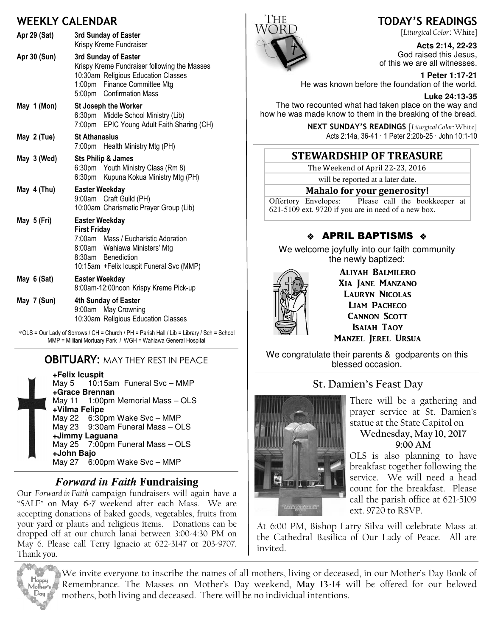### WEEKLY CALENDAR

| Apr 29 (Sat) | 3rd Sunday of Easter<br>Krispy Kreme Fundraiser                                                                                                                                         |
|--------------|-----------------------------------------------------------------------------------------------------------------------------------------------------------------------------------------|
| Apr 30 (Sun) | 3rd Sunday of Easter<br>Krispy Kreme Fundraiser following the Masses<br>10:30am Religious Education Classes<br>1:00pm Finance Committee Mtg<br>5:00pm Confirmation Mass                 |
| May 1 (Mon)  | <b>St Joseph the Worker</b><br>6:30pm Middle School Ministry (Lib)<br>7:00pm<br>EPIC Young Adult Faith Sharing (CH)                                                                     |
| May 2 (Tue)  | <b>St Athanasius</b><br>7:00pm Health Ministry Mtg (PH)                                                                                                                                 |
| May 3 (Wed)  | <b>Sts Philip &amp; James</b><br>6:30pm Youth Ministry Class (Rm 8)<br>6:30pm Kupuna Kokua Ministry Mtg (PH)                                                                            |
| May 4 (Thu)  | <b>Easter Weekday</b><br>9:00am Craft Guild (PH)<br>10:00am Charismatic Prayer Group (Lib)                                                                                              |
| May 5 (Fri)  | <b>Easter Weekday</b><br><b>First Friday</b><br>7:00am Mass / Eucharistic Adoration<br>8:00am Wahiawa Ministers' Mtg<br>8:30am Benediction<br>10:15am + Felix Icuspit Funeral Svc (MMP) |
| May 6 (Sat)  | <b>Easter Weekday</b><br>8:00am-12:00noon Krispy Kreme Pick-up                                                                                                                          |
| May 7 (Sun)  | 4th Sunday of Easter<br>9:00am May Crowning<br>10:30am Religious Education Classes                                                                                                      |

∗OLS = Our Lady of Sorrows / CH = Church / PH = Parish Hall / Lib = Library / Sch = School MMP = Mililani Mortuary Park / WGH = Wahiawa General Hospital

#### **OBITUARY: MAY THEY REST IN PEACE**

**+Felix Icuspit** May 5 10:15am Funeral Svc – MMP **+Grace Brennan** May 11 1:00pm Memorial Mass – OLS **+Vilma Felipe** May 22 6:30pm Wake Svc – MMP May 23 9:30am Funeral Mass – OLS **+Jimmy Laguana** May 25 7:00pm Funeral Mass – OLS **+John Bajo** May 27 6:00pm Wake Svc – MMP

#### *Forward in Faith* **Fundraising**

Our Forward in Faith campaign fundraisers will again have a "SALE" on May 6-7 weekend after each Mass. We are accepting donations of baked goods, vegetables, fruits from your yard or plants and religious items. Donations can be dropped off at our church lanai between 3:00-4:30 PM on May 6. Please call Terry Ignacio at 622-3147 or 203-9707. Thank you.



### TODAY'S READINGS

[Liturgical Color: White]

**Acts 2:14, 22-23**  God raised this Jesus, of this we are all witnesses.

**1 Peter 1:17-21**  He was known before the foundation of the world.

**Luke 24:13-35** 

The two recounted what had taken place on the way and how he was made know to them in the breaking of the bread.

> NEXT SUNDAY'S READINGS [Liturgical Color: White] Acts 2:14a, 36-41 · 1 Peter 2:20b-25 · John 10:1-10

## STEWARDSHIP OF TREASURE

The Weekend of April 22-23, 2016

will be reported at a later date.

#### Mahalo for your generosity!

Offertory Envelopes: Please call the bookkeeper at 621-5109 ext. 9720 if you are in need of a new box.

## $\div$  APRIL BAPTISMS  $\div$

We welcome joyfully into our faith community the newly baptized:



ALIYAH BALMILERO XIA JANE MANZANO LAURYN NICOLAS LIAM PACHECO **CANNON SCOTT ISAIAH TAOY** MANZEL JEREL URSUA

We congratulate their parents & godparents on this blessed occasion.

### St. Damien's Feast Day



There will be a gathering and prayer service at St. Damien's statue at the State Capitol on Wednesday, May 10, 2017

# 9:00 AM

OLS is also planning to have breakfast together following the service. We will need a head count for the breakfast. Please call the parish office at 621-5109 ext. 9720 to RSVP.

At 6:00 PM, Bishop Larry Silva will celebrate Mass at the Cathedral Basilica of Our Lady of Peace. All are invited.



We invite everyone to inscribe the names of all mothers, living or deceased, in our Mother's Day Book of Remembrance. The Masses on Mother's Day weekend, May 13-14 will be offered for our beloved mothers, both living and deceased. There will be no individual intentions.